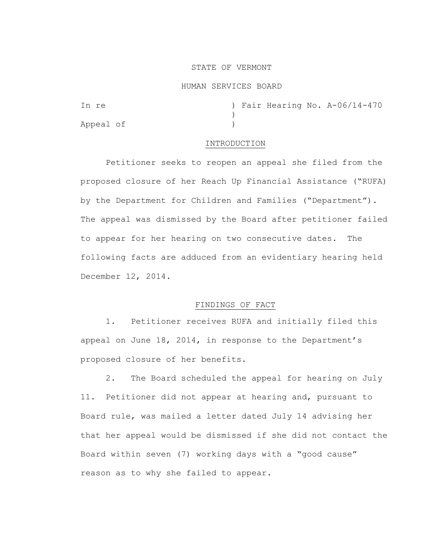## STATE OF VERMONT

### HUMAN SERVICES BOARD

| In re     |  |  | ) Fair Hearing No. A-06/14-470 |
|-----------|--|--|--------------------------------|
|           |  |  |                                |
| Appeal of |  |  |                                |

### INTRODUCTION

Petitioner seeks to reopen an appeal she filed from the proposed closure of her Reach Up Financial Assistance ("RUFA) by the Department for Children and Families ("Department"). The appeal was dismissed by the Board after petitioner failed to appear for her hearing on two consecutive dates. The following facts are adduced from an evidentiary hearing held December 12, 2014.

# FINDINGS OF FACT

1. Petitioner receives RUFA and initially filed this appeal on June 18, 2014, in response to the Department's proposed closure of her benefits.

2. The Board scheduled the appeal for hearing on July 11. Petitioner did not appear at hearing and, pursuant to Board rule, was mailed a letter dated July 14 advising her that her appeal would be dismissed if she did not contact the Board within seven (7) working days with a "good cause" reason as to why she failed to appear.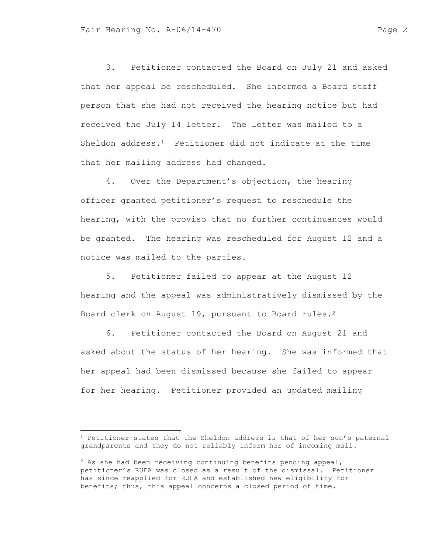3. Petitioner contacted the Board on July 21 and asked that her appeal be rescheduled. She informed a Board staff person that she had not received the hearing notice but had received the July 14 letter. The letter was mailed to a Sheldon address. $<sup>1</sup>$  Petitioner did not indicate at the time</sup> that her mailing address had changed.

4. Over the Department's objection, the hearing officer granted petitioner's request to reschedule the hearing, with the proviso that no further continuances would be granted. The hearing was rescheduled for August 12 and a notice was mailed to the parties.

5. Petitioner failed to appear at the August 12 hearing and the appeal was administratively dismissed by the Board clerk on August 19, pursuant to Board rules.<sup>2</sup>

6. Petitioner contacted the Board on August 21 and asked about the status of her hearing. She was informed that her appeal had been dismissed because she failed to appear for her hearing. Petitioner provided an updated mailing

 $1$  Petitioner states that the Sheldon address is that of her son's paternal grandparents and they do not reliably inform her of incoming mail.

 $2$  As she had been receiving continuing benefits pending appeal, petitioner's RUFA was closed as a result of the dismissal. Petitioner has since reapplied for RUFA and established new eligibility for benefits; thus, this appeal concerns a closed period of time.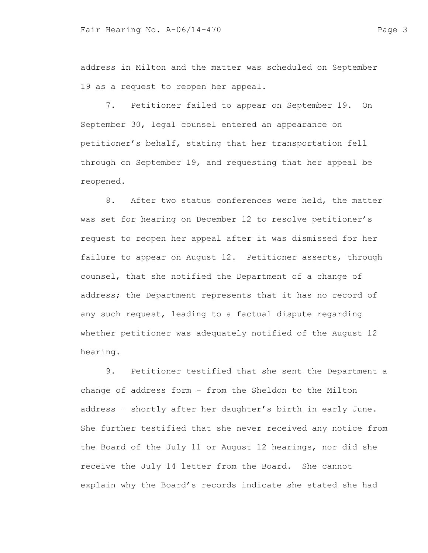address in Milton and the matter was scheduled on September 19 as a request to reopen her appeal.

7. Petitioner failed to appear on September 19. On September 30, legal counsel entered an appearance on petitioner's behalf, stating that her transportation fell through on September 19, and requesting that her appeal be reopened.

8. After two status conferences were held, the matter was set for hearing on December 12 to resolve petitioner's request to reopen her appeal after it was dismissed for her failure to appear on August 12. Petitioner asserts, through counsel, that she notified the Department of a change of address; the Department represents that it has no record of any such request, leading to a factual dispute regarding whether petitioner was adequately notified of the August 12 hearing.

9. Petitioner testified that she sent the Department a change of address form – from the Sheldon to the Milton address – shortly after her daughter's birth in early June. She further testified that she never received any notice from the Board of the July 11 or August 12 hearings, nor did she receive the July 14 letter from the Board. She cannot explain why the Board's records indicate she stated she had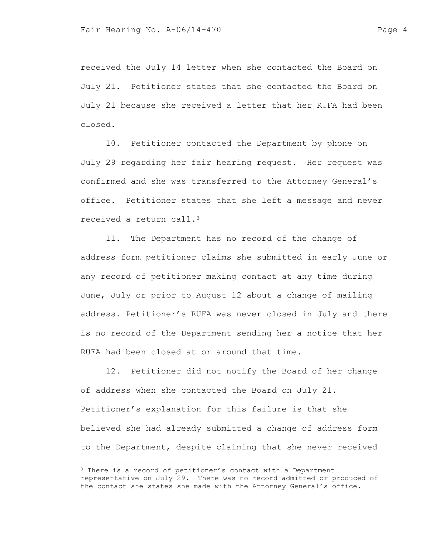received the July 14 letter when she contacted the Board on July 21. Petitioner states that she contacted the Board on July 21 because she received a letter that her RUFA had been closed.

10. Petitioner contacted the Department by phone on July 29 regarding her fair hearing request. Her request was confirmed and she was transferred to the Attorney General's office. Petitioner states that she left a message and never received a return call.<sup>3</sup>

11. The Department has no record of the change of address form petitioner claims she submitted in early June or any record of petitioner making contact at any time during June, July or prior to August 12 about a change of mailing address. Petitioner's RUFA was never closed in July and there is no record of the Department sending her a notice that her RUFA had been closed at or around that time.

12. Petitioner did not notify the Board of her change of address when she contacted the Board on July 21. Petitioner's explanation for this failure is that she believed she had already submitted a change of address form to the Department, despite claiming that she never received

<sup>&</sup>lt;sup>3</sup> There is a record of petitioner's contact with a Department representative on July 29. There was no record admitted or produced of the contact she states she made with the Attorney General's office.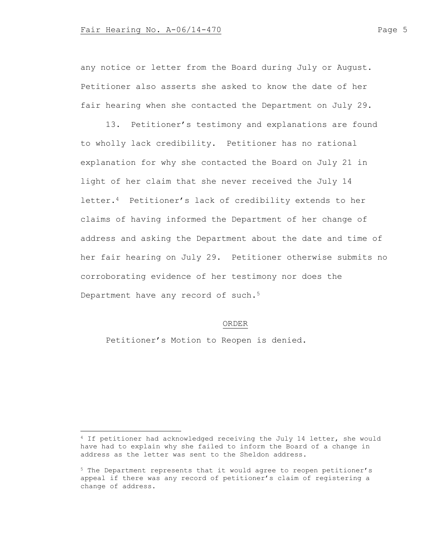any notice or letter from the Board during July or August. Petitioner also asserts she asked to know the date of her fair hearing when she contacted the Department on July 29.

13. Petitioner's testimony and explanations are found to wholly lack credibility. Petitioner has no rational explanation for why she contacted the Board on July 21 in light of her claim that she never received the July 14 letter.<sup>4</sup> Petitioner's lack of credibility extends to her claims of having informed the Department of her change of address and asking the Department about the date and time of her fair hearing on July 29. Petitioner otherwise submits no corroborating evidence of her testimony nor does the Department have any record of such.<sup>5</sup>

### ORDER

Petitioner's Motion to Reopen is denied.

<sup>4</sup> If petitioner had acknowledged receiving the July 14 letter, she would have had to explain why she failed to inform the Board of a change in address as the letter was sent to the Sheldon address.

<sup>5</sup> The Department represents that it would agree to reopen petitioner's appeal if there was any record of petitioner's claim of registering a change of address.